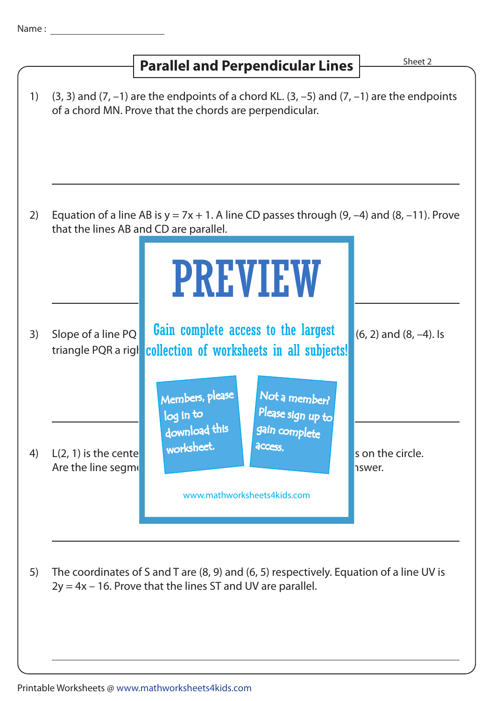